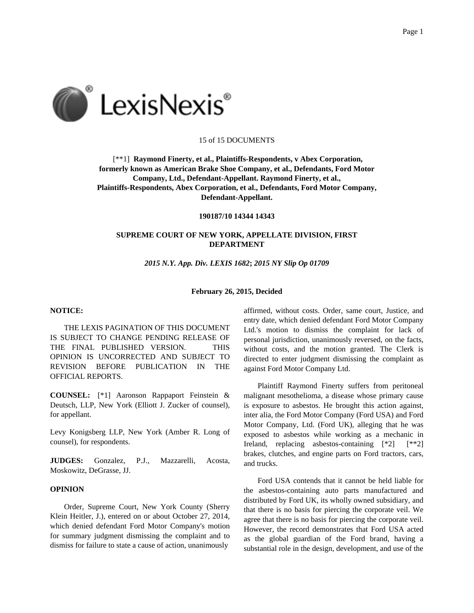

## 15 of 15 DOCUMENTS

[\*\*1] **Raymond Finerty, et al., Plaintiffs-Respondents, v Abex Corporation, formerly known as American Brake Shoe Company, et al., Defendants, Ford Motor Company, Ltd., Defendant-Appellant. Raymond Finerty, et al., Plaintiffs-Respondents, Abex Corporation, et al., Defendants, Ford Motor Company, Defendant-Appellant.**

**190187/10 14344 14343**

# **SUPREME COURT OF NEW YORK, APPELLATE DIVISION, FIRST DEPARTMENT**

*2015 N.Y. App. Div. LEXIS 1682***;** *2015 NY Slip Op 01709*

#### **February 26, 2015, Decided**

### **NOTICE:**

THE LEXIS PAGINATION OF THIS DOCUMENT IS SUBJECT TO CHANGE PENDING RELEASE OF THE FINAL PUBLISHED VERSION. THIS OPINION IS UNCORRECTED AND SUBJECT TO REVISION BEFORE PUBLICATION IN THE OFFICIAL REPORTS.

**COUNSEL:** [\*1] Aaronson Rappaport Feinstein & Deutsch, LLP, New York (Elliott J. Zucker of counsel), for appellant.

Levy Konigsberg LLP, New York (Amber R. Long of counsel), for respondents.

**JUDGES:** Gonzalez, P.J., Mazzarelli, Acosta, Moskowitz, DeGrasse, JJ.

## **OPINION**

Order, Supreme Court, New York County (Sherry Klein Heitler, J.), entered on or about October 27, 2014, which denied defendant Ford Motor Company's motion for summary judgment dismissing the complaint and to dismiss for failure to state a cause of action, unanimously

affirmed, without costs. Order, same court, Justice, and entry date, which denied defendant Ford Motor Company Ltd.'s motion to dismiss the complaint for lack of personal jurisdiction, unanimously reversed, on the facts, without costs, and the motion granted. The Clerk is directed to enter judgment dismissing the complaint as against Ford Motor Company Ltd.

Plaintiff Raymond Finerty suffers from peritoneal malignant mesothelioma, a disease whose primary cause is exposure to asbestos. He brought this action against, inter alia, the Ford Motor Company (Ford USA) and Ford Motor Company, Ltd. (Ford UK), alleging that he was exposed to asbestos while working as a mechanic in Ireland, replacing asbestos-containing [\*2] [\*\*2] brakes, clutches, and engine parts on Ford tractors, cars, and trucks.

Ford USA contends that it cannot be held liable for the asbestos-containing auto parts manufactured and distributed by Ford UK, its wholly owned subsidiary, and that there is no basis for piercing the corporate veil. We agree that there is no basis for piercing the corporate veil. However, the record demonstrates that Ford USA acted as the global guardian of the Ford brand, having a substantial role in the design, development, and use of the